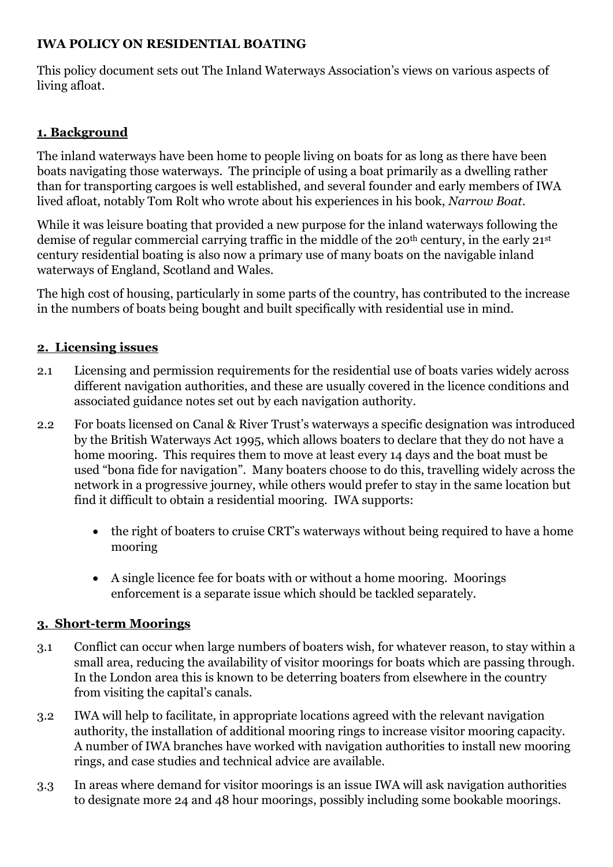### **IWA POLICY ON RESIDENTIAL BOATING**

This policy document sets out The Inland Waterways Association's views on various aspects of living afloat.

### **1. Background**

The inland waterways have been home to people living on boats for as long as there have been boats navigating those waterways. The principle of using a boat primarily as a dwelling rather than for transporting cargoes is well established, and several founder and early members of IWA lived afloat, notably Tom Rolt who wrote about his experiences in his book, *Narrow Boat*.

While it was leisure boating that provided a new purpose for the inland waterways following the demise of regular commercial carrying traffic in the middle of the 20<sup>th</sup> century, in the early 21<sup>st</sup> century residential boating is also now a primary use of many boats on the navigable inland waterways of England, Scotland and Wales.

The high cost of housing, particularly in some parts of the country, has contributed to the increase in the numbers of boats being bought and built specifically with residential use in mind.

#### **2. Licensing issues**

- 2.1 Licensing and permission requirements for the residential use of boats varies widely across different navigation authorities, and these are usually covered in the licence conditions and associated guidance notes set out by each navigation authority.
- 2.2 For boats licensed on Canal & River Trust's waterways a specific designation was introduced by the British Waterways Act 1995, which allows boaters to declare that they do not have a home mooring. This requires them to move at least every 14 days and the boat must be used "bona fide for navigation". Many boaters choose to do this, travelling widely across the network in a progressive journey, while others would prefer to stay in the same location but find it difficult to obtain a residential mooring. IWA supports:
	- the right of boaters to cruise CRT's waterways without being required to have a home mooring
	- A single licence fee for boats with or without a home mooring. Moorings enforcement is a separate issue which should be tackled separately.

#### **3. Short-term Moorings**

- 3.1 Conflict can occur when large numbers of boaters wish, for whatever reason, to stay within a small area, reducing the availability of visitor moorings for boats which are passing through. In the London area this is known to be deterring boaters from elsewhere in the country from visiting the capital's canals.
- 3.2 IWA will help to facilitate, in appropriate locations agreed with the relevant navigation authority, the installation of additional mooring rings to increase visitor mooring capacity. A number of IWA branches have worked with navigation authorities to install new mooring rings, and case studies and technical advice are available.
- 3.3 In areas where demand for visitor moorings is an issue IWA will ask navigation authorities to designate more 24 and 48 hour moorings, possibly including some bookable moorings.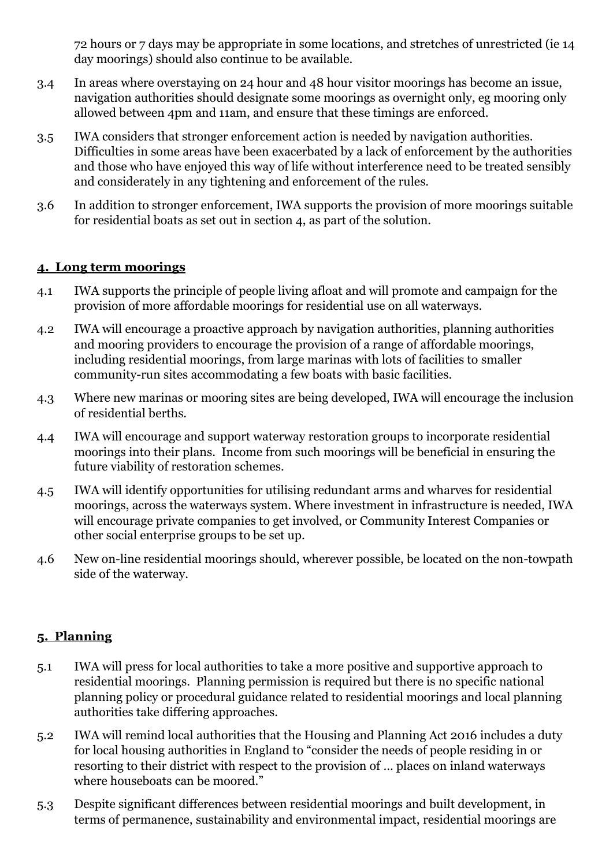72 hours or 7 days may be appropriate in some locations, and stretches of unrestricted (ie 14 day moorings) should also continue to be available.

- 3.4 In areas where overstaying on 24 hour and 48 hour visitor moorings has become an issue, navigation authorities should designate some moorings as overnight only, eg mooring only allowed between 4pm and 11am, and ensure that these timings are enforced.
- 3.5 IWA considers that stronger enforcement action is needed by navigation authorities. Difficulties in some areas have been exacerbated by a lack of enforcement by the authorities and those who have enjoyed this way of life without interference need to be treated sensibly and considerately in any tightening and enforcement of the rules.
- 3.6 In addition to stronger enforcement, IWA supports the provision of more moorings suitable for residential boats as set out in section 4, as part of the solution.

#### **4. Long term moorings**

- 4.1 IWA supports the principle of people living afloat and will promote and campaign for the provision of more affordable moorings for residential use on all waterways.
- 4.2 IWA will encourage a proactive approach by navigation authorities, planning authorities and mooring providers to encourage the provision of a range of affordable moorings, including residential moorings, from large marinas with lots of facilities to smaller community-run sites accommodating a few boats with basic facilities.
- 4.3 Where new marinas or mooring sites are being developed, IWA will encourage the inclusion of residential berths.
- 4.4 IWA will encourage and support waterway restoration groups to incorporate residential moorings into their plans. Income from such moorings will be beneficial in ensuring the future viability of restoration schemes.
- 4.5 IWA will identify opportunities for utilising redundant arms and wharves for residential moorings, across the waterways system. Where investment in infrastructure is needed, IWA will encourage private companies to get involved, or Community Interest Companies or other social enterprise groups to be set up.
- 4.6 New on-line residential moorings should, wherever possible, be located on the non-towpath side of the waterway.

## **5. Planning**

- 5.1 IWA will press for local authorities to take a more positive and supportive approach to residential moorings. Planning permission is required but there is no specific national planning policy or procedural guidance related to residential moorings and local planning authorities take differing approaches.
- 5.2 IWA will remind local authorities that the Housing and Planning Act 2016 includes a duty for local housing authorities in England to "consider the needs of people residing in or resorting to their district with respect to the provision of … places on inland waterways where houseboats can be moored."
- 5.3 Despite significant differences between residential moorings and built development, in terms of permanence, sustainability and environmental impact, residential moorings are